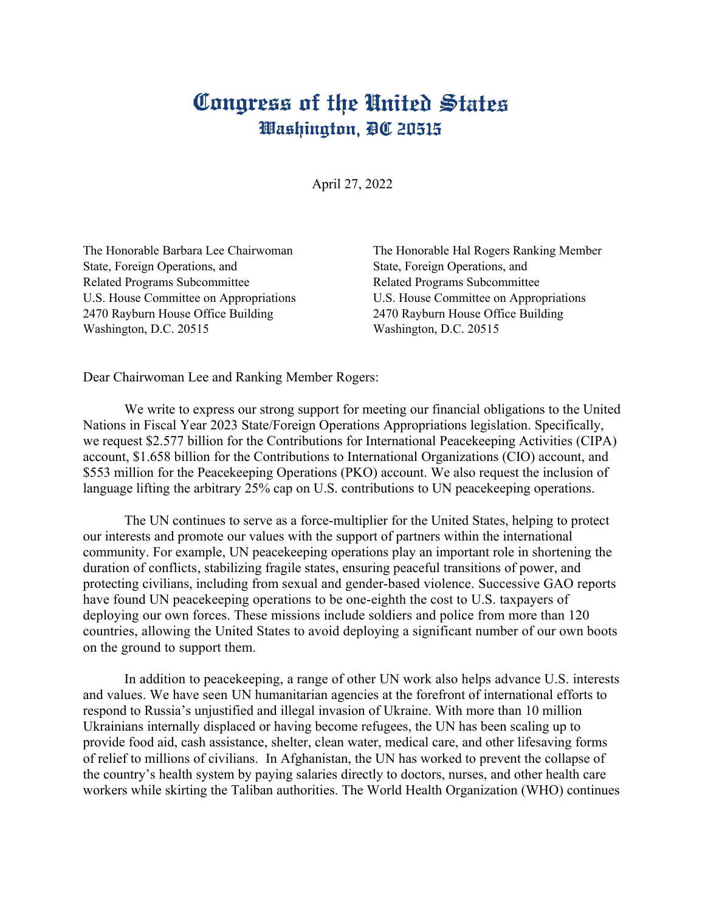## Congress of the United States Washington, DC 20515

April 27, 2022

State, Foreign Operations, and State, Foreign Operations, and State, Foreign Operations, and Related Programs Subcommittee Related Programs Subcommittee 2470 Rayburn House Office Building 2470 Rayburn House Office Building Washington, D.C. 20515 Washington, D.C. 20515

The Honorable Barbara Lee Chairwoman The Honorable Hal Rogers Ranking Member U.S. House Committee on Appropriations U.S. House Committee on Appropriations

Dear Chairwoman Lee and Ranking Member Rogers:

We write to express our strong support for meeting our financial obligations to the United Nations in Fiscal Year 2023 State/Foreign Operations Appropriations legislation. Specifically, we request \$2.577 billion for the Contributions for International Peacekeeping Activities (CIPA) account, \$1.658 billion for the Contributions to International Organizations (CIO) account, and \$553 million for the Peacekeeping Operations (PKO) account. We also request the inclusion of language lifting the arbitrary 25% cap on U.S. contributions to UN peace keeping operations.

The UN continues to serve as a force-multiplier for the United States, helping to protect our interests and promote our values with the support of partners within the international community. For example, UN peacekeeping operations play an important role in shortening the duration of conflicts, stabilizing fragile states, ensuring peaceful transitions of power, and protecting civilians, including from sexual and gender-based violence. Successive GAO reports have found UN peacekeeping operations to be one-eighth the cost to U.S. taxpayers of deploying our own forces. These missions include soldiers and police from more than 120 countries, allowing the United States to avoid deploying a significant number of our own boots on the ground to support them.

In addition to peacekeeping, a range of other UN work also helps advance U.S. interests and values. We have seen UN humanitarian agencies at the forefront of international efforts to respond to Russia's unjustified and illegal invasion of Ukraine. With more than 10 million Ukrainians internally displaced or having become refugees, the UN has been scaling up to provide food aid, cash assistance, shelter, clean water, medical care, and other lifesaving forms of relief to millions of civilians. In Afghanistan, the UN has worked to prevent the collapse of the country's health system by paying salaries directly to doctors, nurses, and other health care workers while skirting the Taliban authorities. The World Health Organization (WHO) continues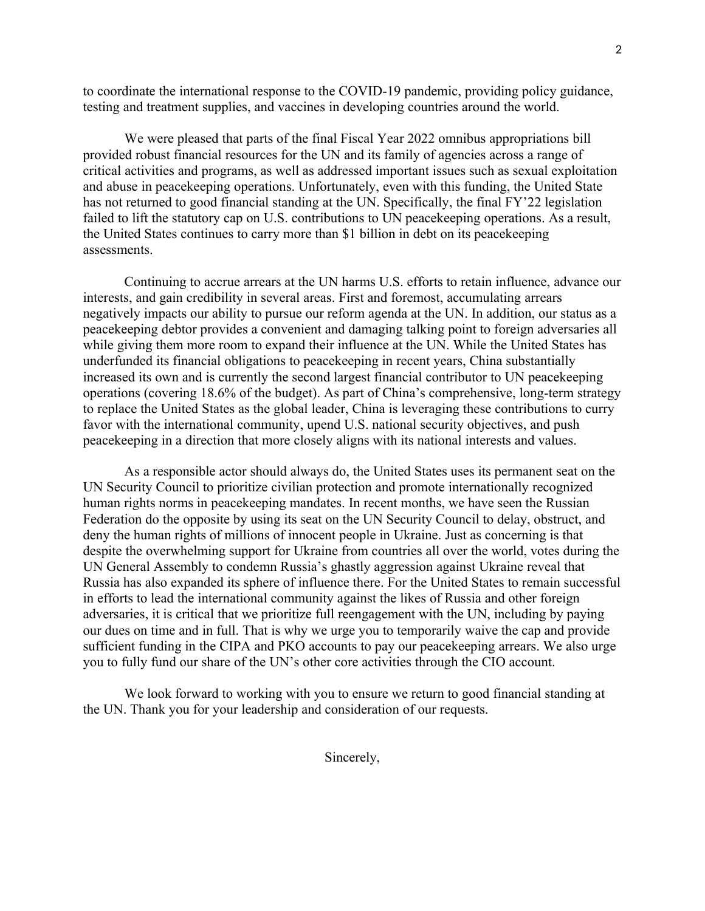to coordinate the international response to the COVID-19 pandemic, providing policy guidance, testing and treatment supplies, and vaccines in developing countries around the world.

We were pleased that parts of the final Fiscal Year 2022 omnibus appropriations bill provided robust financial resources for the UN and its family of agencies across a range of critical activities and programs, as well as addressed important issues such as sexual exploitation and abuse in peacekeeping operations. Unfortunately, even with this funding, the United State has not returned to good financial standing at the UN. Specifically, the final FY'22 legislation failed to lift the statutory cap on U.S. contributions to UN peacekeeping operations. As a result, the United States continues to carry more than \$1 billion in debt on its peacekeeping assessments.

Continuing to accrue arrears at the UN harms U.S. efforts to retain influence, advance our interests, and gain credibility in several areas. First and foremost, accumulating arrears negatively impacts our ability to pursue our reform agenda at the UN. In addition, our status as a peacekeeping debtor provides a convenient and damaging talking point to foreign adversaries all while giving them more room to expand their influence at the UN. While the United States has underfunded its financial obligations to peacekeeping in recent years, China substantially increased its own and is currently the second largest financial contributor to UN peacekeeping operations (covering 18.6% of the budget). As part of China's comprehensive, long-term strategy to replace the United States as the global leader, China is leveraging these contributions to curry favor with the international community, upend U.S. national security objectives, and push peacekeeping in a direction that more closely aligns with its national interests and values.

As a responsible actor should always do, the United States uses its permanent seat on the UN Security Council to prioritize civilian protection and promote internationally recognized human rights norms in peacekeeping mandates. In recent months, we have seen the Russian Federation do the opposite by using its seat on the UN Security Council to delay, obstruct, and deny the human rights of millions of innocent people in Ukraine. Just as concerning is that despite the overwhelming support for Ukraine from countries all over the world, votes during the UN General Assembly to condemn Russia's ghastly aggression against Ukraine reveal that Russia has also expanded its sphere of influence there. For the United States to remain successful in efforts to lead the international community against the likes of Russia and other foreign adversaries, it is critical that we prioritize full reengagement with the UN, including by paying our dues on time and in full. That is why we urge you to temporarily waive the cap and provide sufficient funding in the CIPA and PKO accounts to pay our peacekeeping arrears. We also urge you to fully fund our share of the UN's other core activities through the CIO account.

We look forward to working with you to ensure we return to good financial standing at the UN. Thank you for your leadership and consideration of our requests.

Sincerely,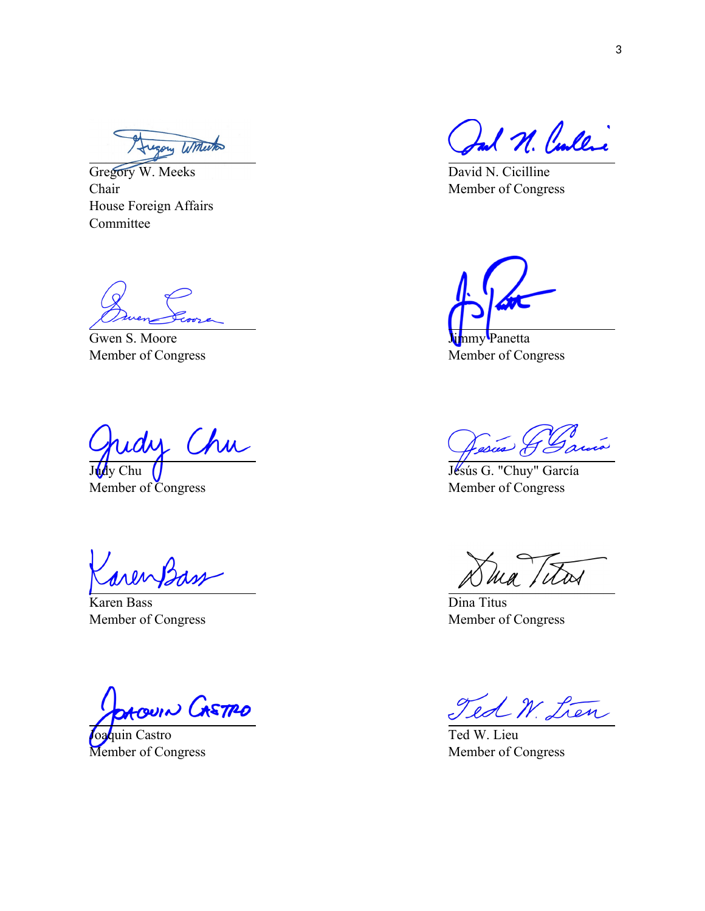Augory Willeton

Gregory W. Meeks Chair House Foreign Affairs Committee

Gwen S. Moore Member of Congress

Chudy Chu

Member of Congress

Karen Bass Member of Congress

DAOUIN CASTRO

Joaquin Castro Member of Congress

Ind N. Cullic

David N. Cicilline Member of Congress

nmy Panetta

Member of Congress

Jesus J

Jésús G. "Chuy" García Member of Congress

ma titas

Dina Titus Member of Congress

Ted W. Lien

Ted W. Lieu Member of Congress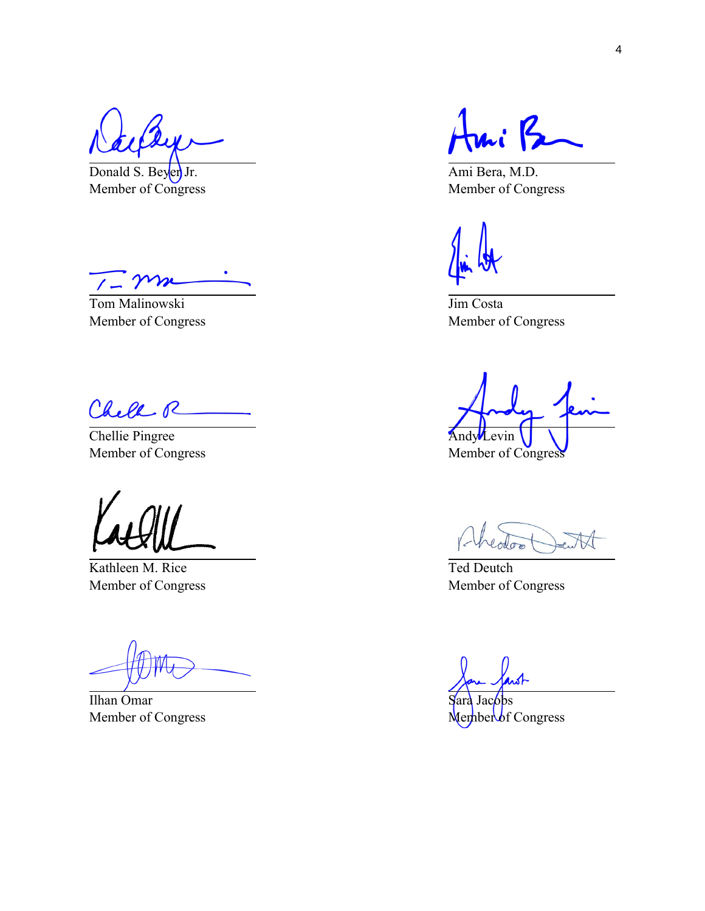Donald S. Beyer Jr. Member of Congress

Tom Malinowski Member of Congress

Chele R

Chellie Pingree Member of Congress

Kathleen M. Rice Member of Congress

Ilhan Omar Member of Congress

 $\mathbf{A}$  $\mathcal{L}$ 

Ami Bera, M.D. Member of Congress

Jim Costa Member of Congress

**Andy** Levin Member of Congress

Ted Deutch Member of Congress

Jac<sub>obs</sub> Member of Congress